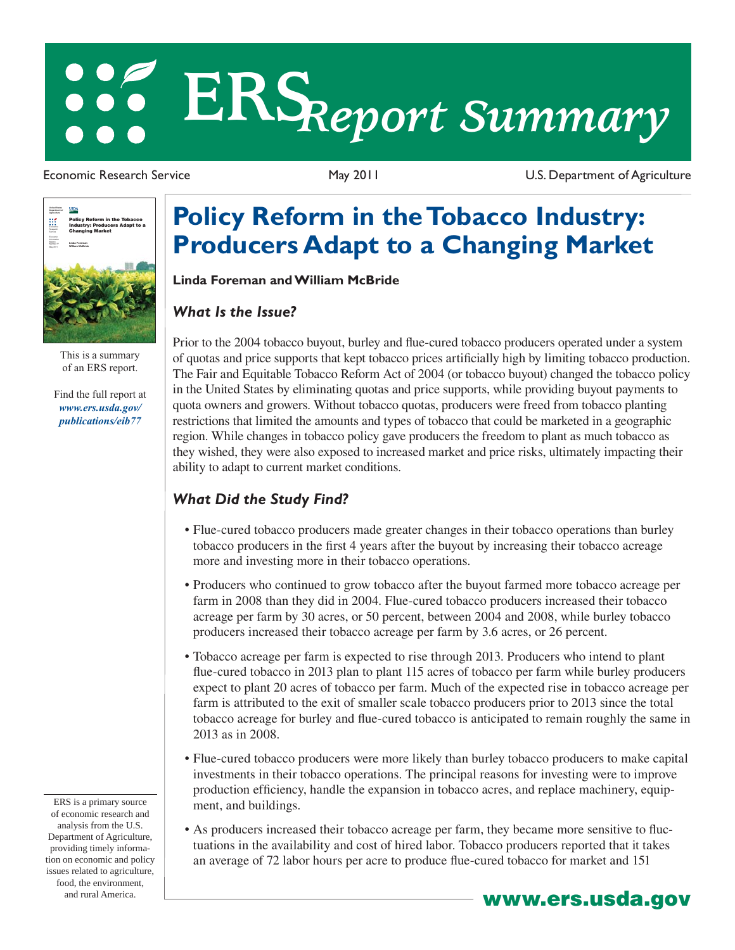# **ERS***Report Summary*

Economic Research Service May 2011 U.S. Department of Agriculture



This is a summary of an ERS report.

Find the full report at *www.ers.usda.gov/ publications/eib77*

ERS is a primary source of economic research and analysis from the U.S. Department of Agriculture, providing timely information on economic and policy issues related to agriculture, food, the environment,

## **Policy Reform in the Tobacco Industry: Producers Adapt to a Changing Market**

**Linda Foreman and William McBride**

#### *What Is the Issue?*

Prior to the 2004 tobacco buyout, burley and flue-cured tobacco producers operated under a system of quotas and price supports that kept tobacco prices artifi cially high by limiting tobacco production. The Fair and Equitable Tobacco Reform Act of 2004 (or tobacco buyout) changed the tobacco policy in the United States by eliminating quotas and price supports, while providing buyout payments to quota owners and growers. Without tobacco quotas, producers were freed from tobacco planting restrictions that limited the amounts and types of tobacco that could be marketed in a geographic region. While changes in tobacco policy gave producers the freedom to plant as much tobacco as they wished, they were also exposed to increased market and price risks, ultimately impacting their ability to adapt to current market conditions.

### *What Did the Study Find?*

- Flue-cured tobacco producers made greater changes in their tobacco operations than burley tobacco producers in the first 4 years after the buyout by increasing their tobacco acreage more and investing more in their tobacco operations.
- Producers who continued to grow tobacco after the buyout farmed more tobacco acreage per farm in 2008 than they did in 2004. Flue-cured tobacco producers increased their tobacco acreage per farm by 30 acres, or 50 percent, between 2004 and 2008, while burley tobacco producers increased their tobacco acreage per farm by 3.6 acres, or 26 percent.
- Tobacco acreage per farm is expected to rise through 2013. Producers who intend to plant flue-cured tobacco in 2013 plan to plant 115 acres of tobacco per farm while burley producers expect to plant 20 acres of tobacco per farm. Much of the expected rise in tobacco acreage per farm is attributed to the exit of smaller scale tobacco producers prior to 2013 since the total tobacco acreage for burley and flue-cured tobacco is anticipated to remain roughly the same in 2013 as in 2008.
- Flue-cured tobacco producers were more likely than burley tobacco producers to make capital investments in their tobacco operations. The principal reasons for investing were to improve production efficiency, handle the expansion in tobacco acres, and replace machinery, equipment, and buildings.
- As producers increased their tobacco acreage per farm, they became more sensitive to fluctuations in the availability and cost of hired labor. Tobacco producers reported that it takes an average of 72 labor hours per acre to produce flue-cured tobacco for market and 151